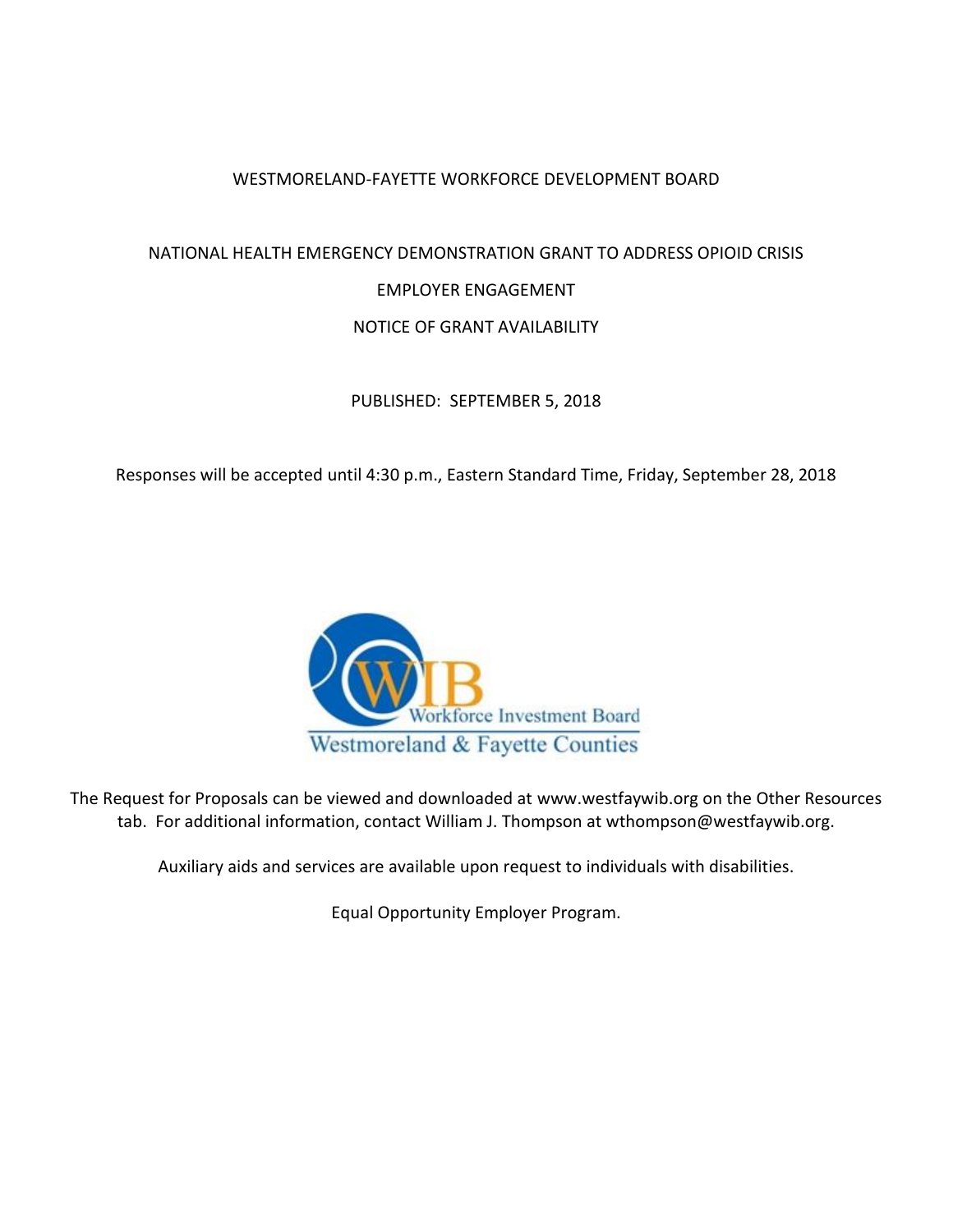### WESTMORELAND-FAYETTE WORKFORCE DEVELOPMENT BOARD

# NATIONAL HEALTH EMERGENCY DEMONSTRATION GRANT TO ADDRESS OPIOID CRISIS EMPLOYER ENGAGEMENT NOTICE OF GRANT AVAILABILITY

PUBLISHED: SEPTEMBER 5, 2018

Responses will be accepted until 4:30 p.m., Eastern Standard Time, Friday, September 28, 2018



The Request for Proposals can be viewed and downloaded at [www.westfaywib.org](http://www.westfaywib.org/) on the Other Resources tab. For additional information, contact William J. Thompson at wthompson@westfaywib.org.

Auxiliary aids and services are available upon request to individuals with disabilities.

Equal Opportunity Employer Program.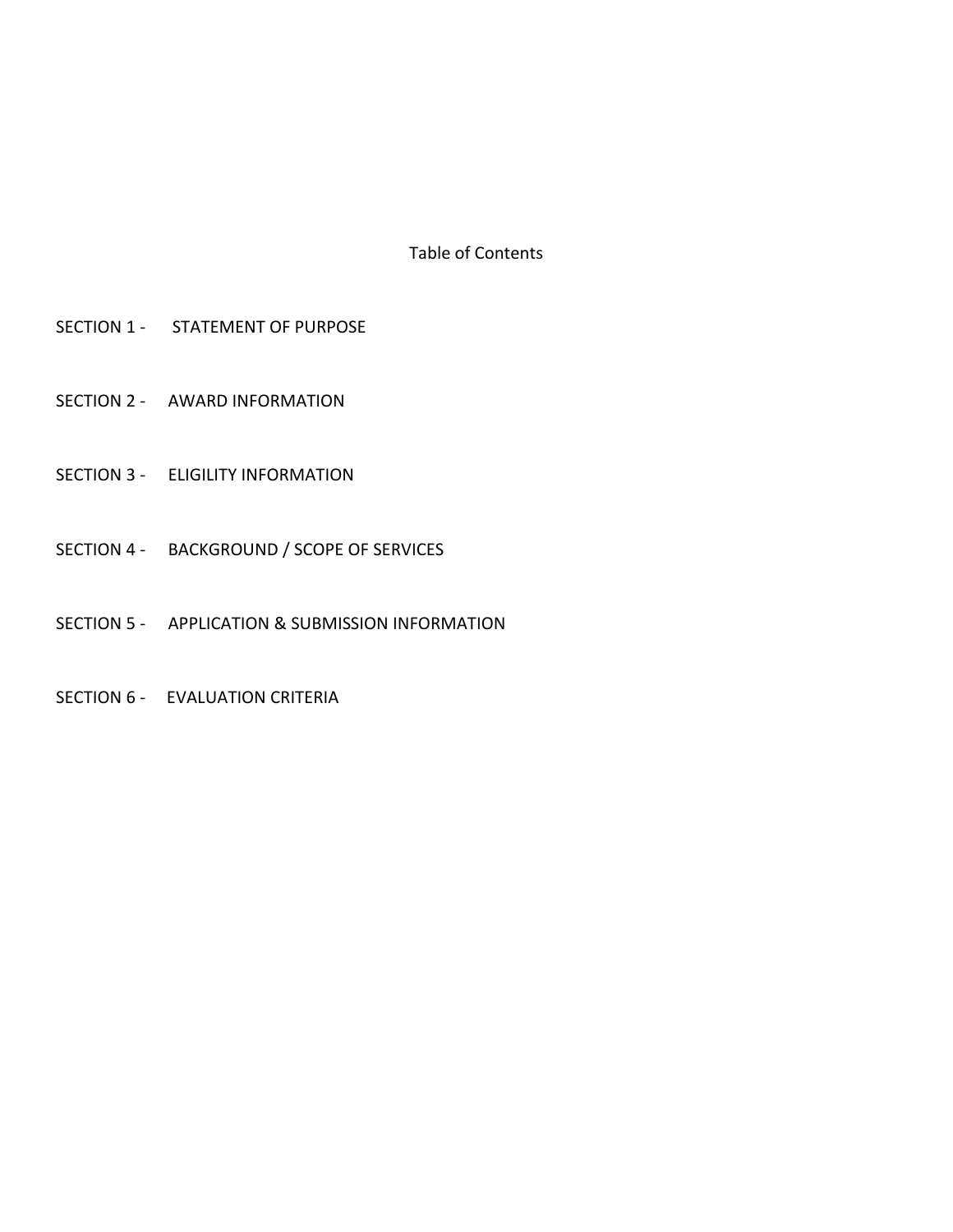Table of Contents

- SECTION 1 STATEMENT OF PURPOSE
- SECTION 2 AWARD INFORMATION
- SECTION 3 ELIGILITY INFORMATION
- SECTION 4 BACKGROUND / SCOPE OF SERVICES
- SECTION 5 APPLICATION & SUBMISSION INFORMATION
- SECTION 6 EVALUATION CRITERIA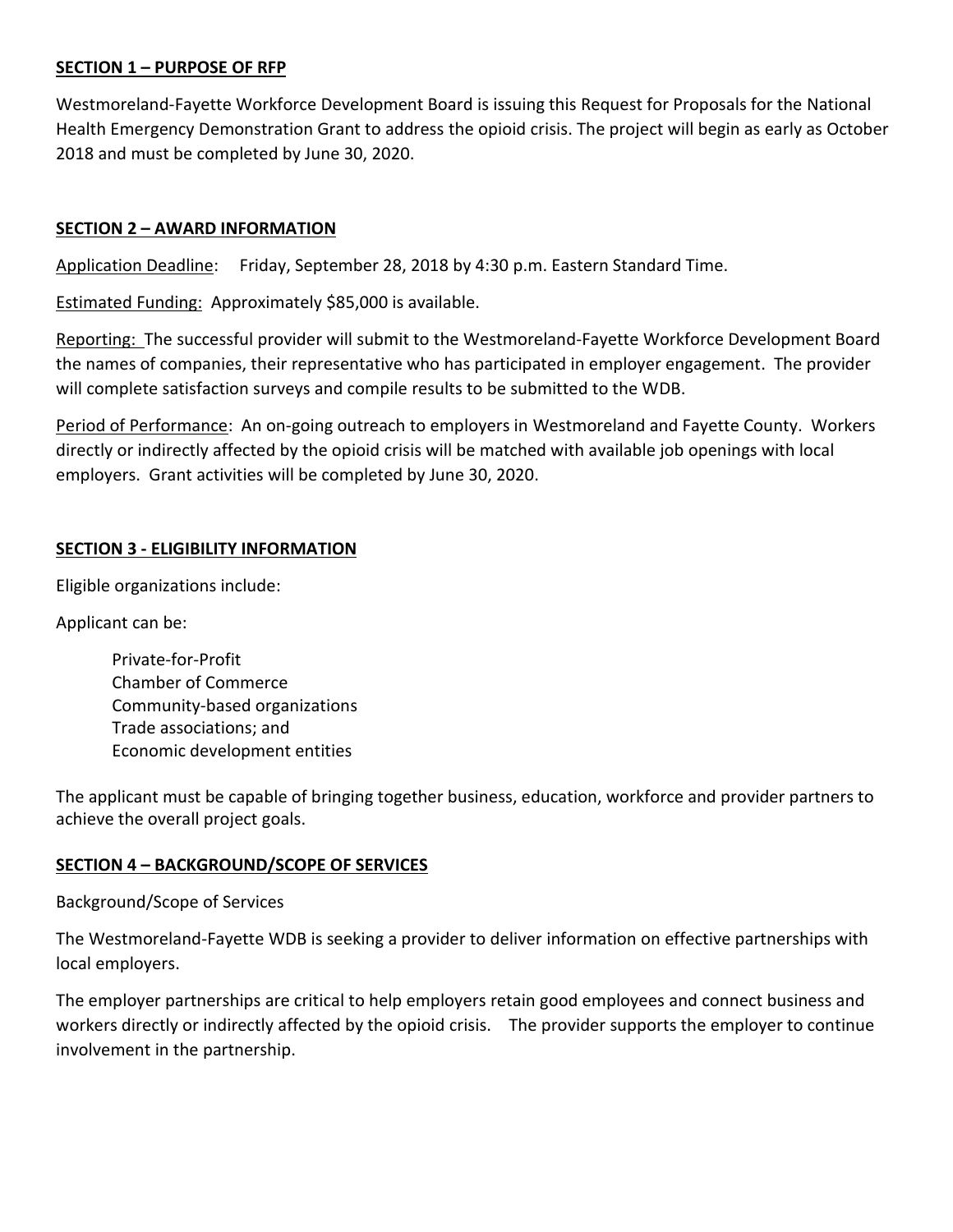### **SECTION 1 – PURPOSE OF RFP**

Westmoreland-Fayette Workforce Development Board is issuing this Request for Proposals for the National Health Emergency Demonstration Grant to address the opioid crisis. The project will begin as early as October 2018 and must be completed by June 30, 2020.

#### **SECTION 2 – AWARD INFORMATION**

Application Deadline: Friday, September 28, 2018 by 4:30 p.m. Eastern Standard Time.

Estimated Funding: Approximately \$85,000 is available.

Reporting: The successful provider will submit to the Westmoreland-Fayette Workforce Development Board the names of companies, their representative who has participated in employer engagement. The provider will complete satisfaction surveys and compile results to be submitted to the WDB.

Period of Performance: An on-going outreach to employers in Westmoreland and Fayette County. Workers directly or indirectly affected by the opioid crisis will be matched with available job openings with local employers. Grant activities will be completed by June 30, 2020.

#### **SECTION 3 - ELIGIBILITY INFORMATION**

Eligible organizations include:

Applicant can be:

Private-for-Profit Chamber of Commerce Community-based organizations Trade associations; and Economic development entities

The applicant must be capable of bringing together business, education, workforce and provider partners to achieve the overall project goals.

#### **SECTION 4 – BACKGROUND/SCOPE OF SERVICES**

Background/Scope of Services

The Westmoreland-Fayette WDB is seeking a provider to deliver information on effective partnerships with local employers.

The employer partnerships are critical to help employers retain good employees and connect business and workers directly or indirectly affected by the opioid crisis. The provider supports the employer to continue involvement in the partnership.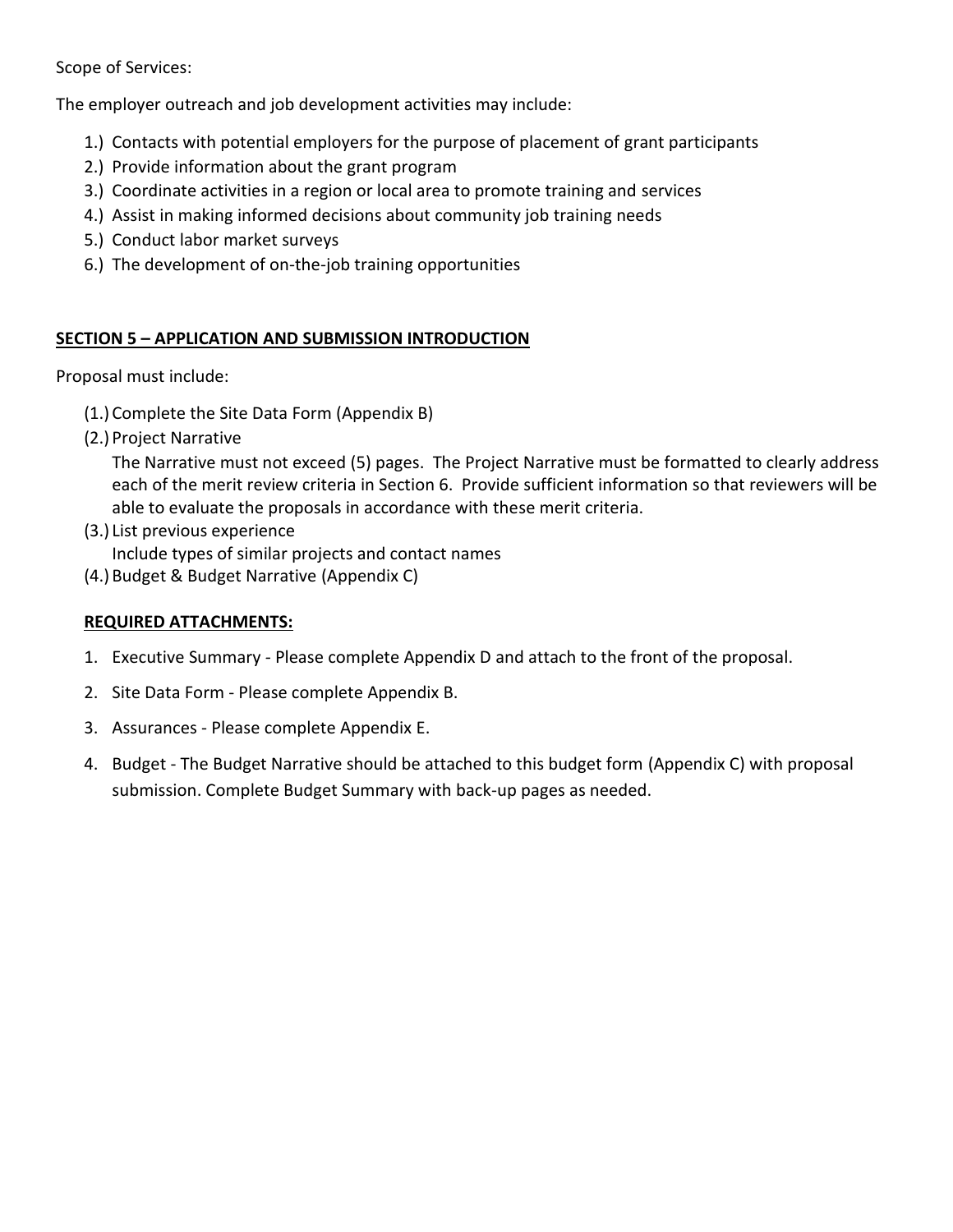Scope of Services:

The employer outreach and job development activities may include:

- 1.) Contacts with potential employers for the purpose of placement of grant participants
- 2.) Provide information about the grant program
- 3.) Coordinate activities in a region or local area to promote training and services
- 4.) Assist in making informed decisions about community job training needs
- 5.) Conduct labor market surveys
- 6.) The development of on-the-job training opportunities

# **SECTION 5 – APPLICATION AND SUBMISSION INTRODUCTION**

Proposal must include:

- (1.) Complete the Site Data Form (Appendix B)
- (2.) Project Narrative

The Narrative must not exceed (5) pages. The Project Narrative must be formatted to clearly address each of the merit review criteria in Section 6. Provide sufficient information so that reviewers will be able to evaluate the proposals in accordance with these merit criteria.

- (3.) List previous experience Include types of similar projects and contact names
- (4.) Budget & Budget Narrative (Appendix C)

# **REQUIRED ATTACHMENTS:**

- 1. Executive Summary *-* Please complete Appendix D and attach to the front of the proposal.
- 2. Site Data Form Please complete Appendix B.
- 3. Assurances Please complete Appendix E.
- 4. Budget The Budget Narrative should be attached to this budget form (Appendix C) with proposal submission. Complete Budget Summary with back-up pages as needed.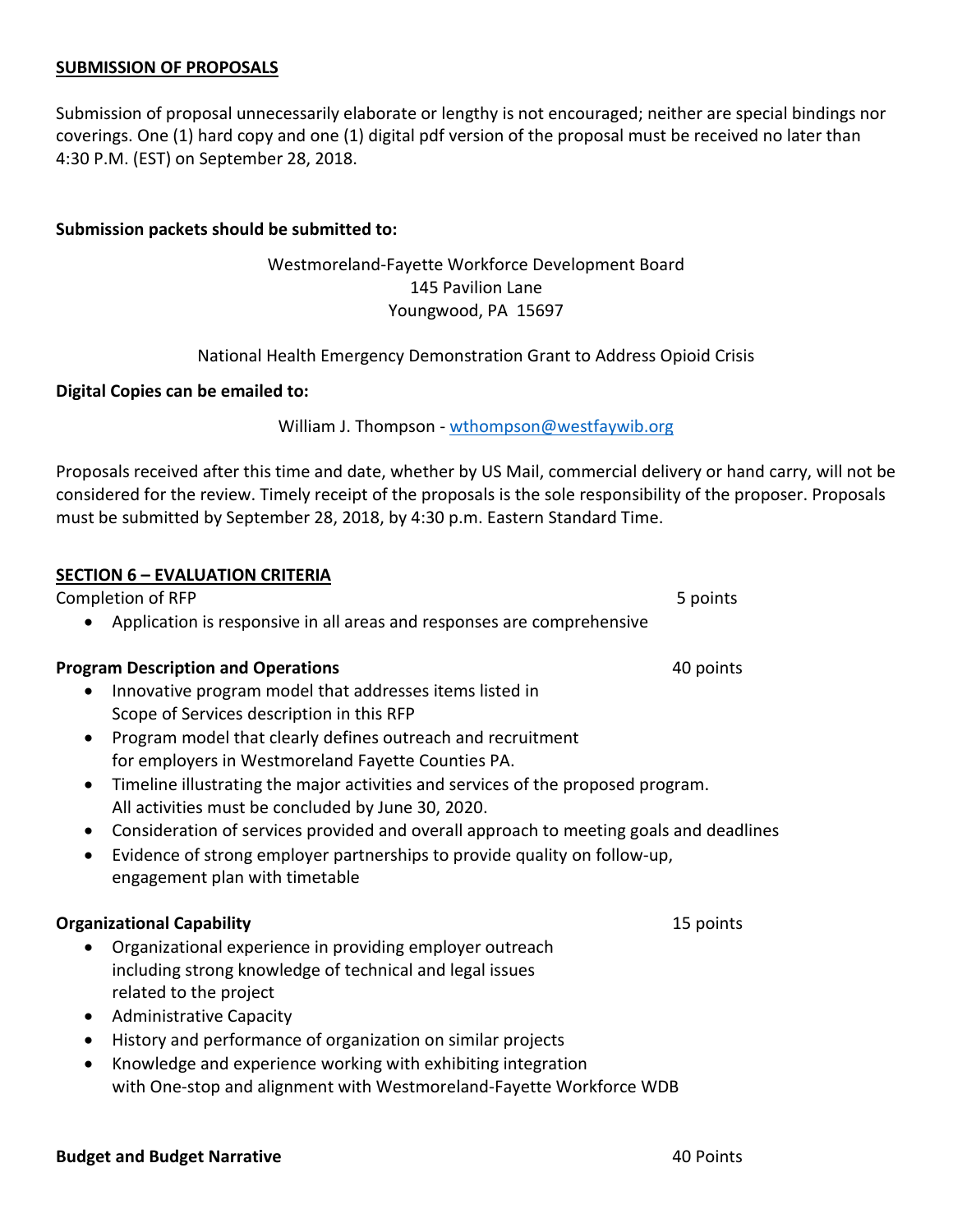#### **SUBMISSION OF PROPOSALS**

Submission of proposal unnecessarily elaborate or lengthy is not encouraged; neither are special bindings nor coverings. One (1) hard copy and one (1) digital pdf version of the proposal must be received no later than 4:30 P.M. (EST) on September 28, 2018.

#### **Submission packets should be submitted to:**

## Westmoreland-Fayette Workforce Development Board 145 Pavilion Lane Youngwood, PA 15697

National Health Emergency Demonstration Grant to Address Opioid Crisis

#### **Digital Copies can be emailed to:**

William J. Thompson - [wthompson@westfaywib.org](mailto:wthompson@westfaywib.org)

Proposals received after this time and date, whether by US Mail, commercial delivery or hand carry, will not be considered for the review. Timely receipt of the proposals is the sole responsibility of the proposer. Proposals must be submitted by September 28, 2018, by 4:30 p.m. Eastern Standard Time.

| <u> SECTION 6 - EVALUATION CRITERIA</u>                                                                                                                                                                                         |           |
|---------------------------------------------------------------------------------------------------------------------------------------------------------------------------------------------------------------------------------|-----------|
| Completion of RFP                                                                                                                                                                                                               | 5 points  |
| Application is responsive in all areas and responses are comprehensive                                                                                                                                                          |           |
| <b>Program Description and Operations</b>                                                                                                                                                                                       | 40 points |
| Innovative program model that addresses items listed in<br>Scope of Services description in this RFP                                                                                                                            |           |
| Program model that clearly defines outreach and recruitment<br>$\bullet$<br>for employers in Westmoreland Fayette Counties PA.                                                                                                  |           |
| Timeline illustrating the major activities and services of the proposed program.<br>All activities must be concluded by June 30, 2020.                                                                                          |           |
| Consideration of services provided and overall approach to meeting goals and deadlines<br>$\bullet$<br>Evidence of strong employer partnerships to provide quality on follow-up,<br>$\bullet$<br>engagement plan with timetable |           |
| <b>Organizational Capability</b>                                                                                                                                                                                                | 15 points |
| Organizational experience in providing employer outreach<br>including strong knowledge of technical and legal issues<br>related to the project<br><b>Administrative Capacity</b><br>$\bullet$                                   |           |
| History and performance of organization on similar projects<br>$\bullet$                                                                                                                                                        |           |

• Knowledge and experience working with exhibiting integration with One-stop and alignment with Westmoreland-Fayette Workforce WDB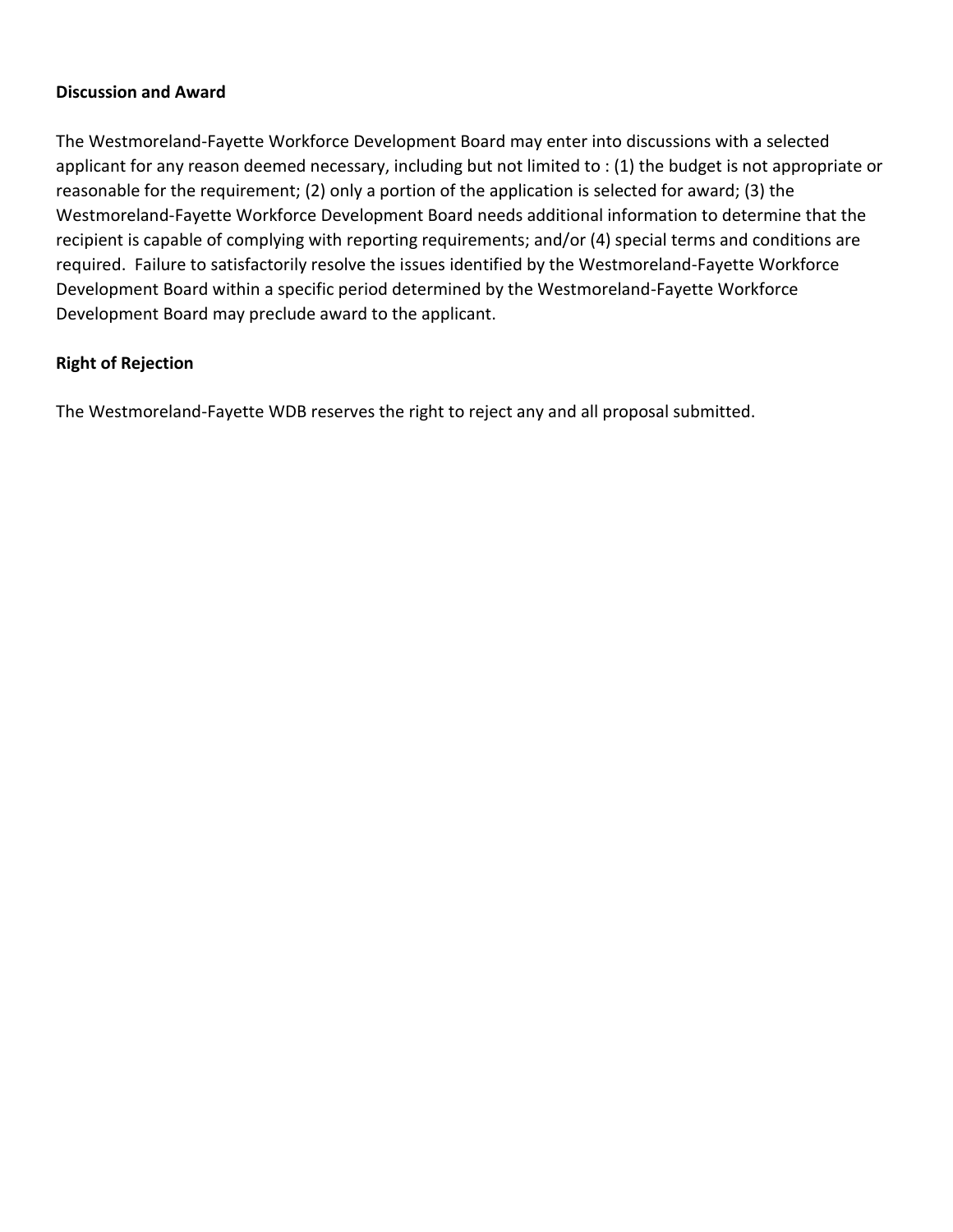### **Discussion and Award**

The Westmoreland-Fayette Workforce Development Board may enter into discussions with a selected applicant for any reason deemed necessary, including but not limited to : (1) the budget is not appropriate or reasonable for the requirement; (2) only a portion of the application is selected for award; (3) the Westmoreland-Fayette Workforce Development Board needs additional information to determine that the recipient is capable of complying with reporting requirements; and/or (4) special terms and conditions are required. Failure to satisfactorily resolve the issues identified by the Westmoreland-Fayette Workforce Development Board within a specific period determined by the Westmoreland-Fayette Workforce Development Board may preclude award to the applicant.

# **Right of Rejection**

The Westmoreland-Fayette WDB reserves the right to reject any and all proposal submitted.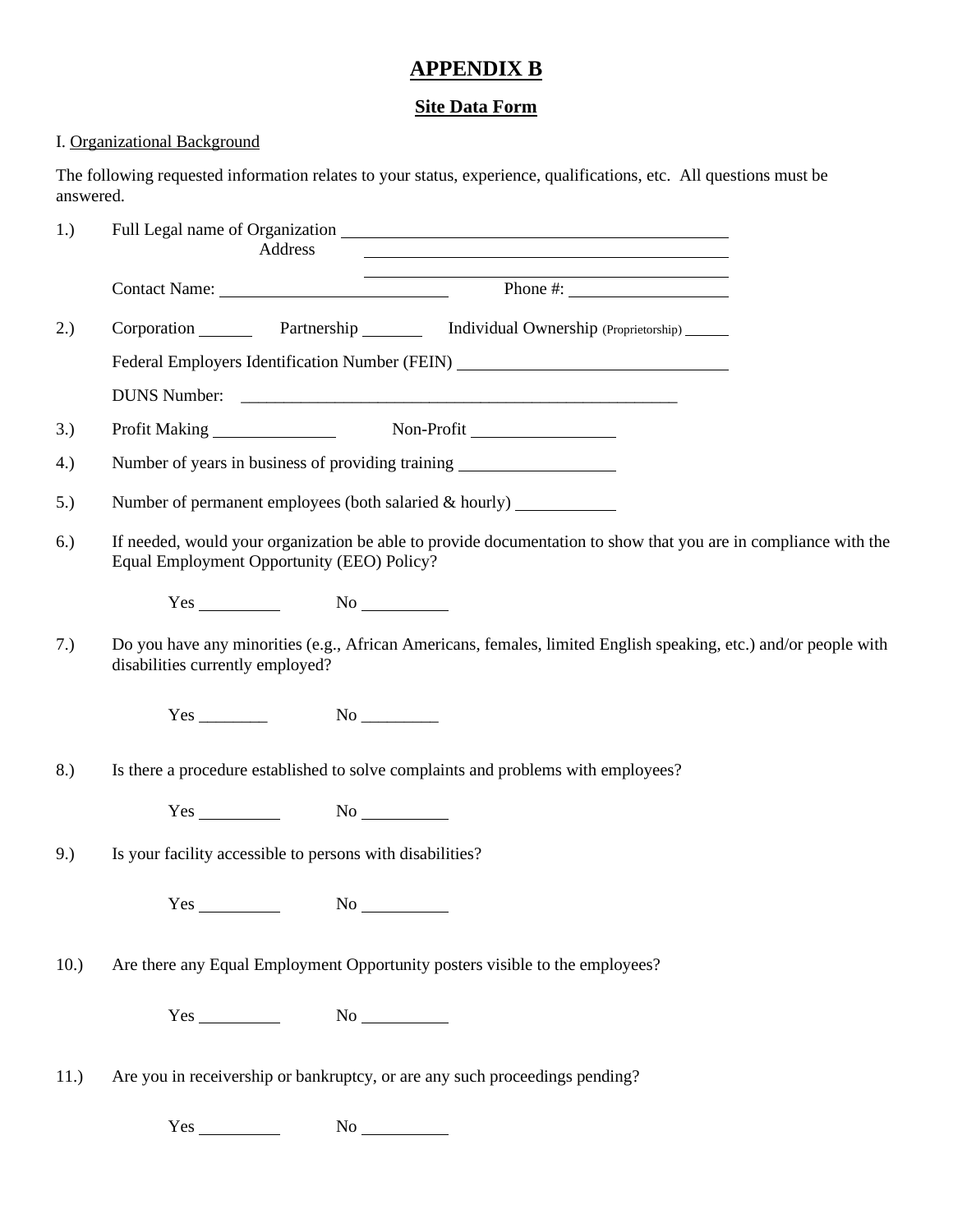# **APPENDIX B**

# **Site Data Form**

# I. Organizational Background

The following requested information relates to your status, experience, qualifications, etc. All questions must be answered.

| 1.)  | Address<br><u>a sa barang ang pagbabang nagang pangangang nagang pangangang nagang pang</u>                                                                   |
|------|---------------------------------------------------------------------------------------------------------------------------------------------------------------|
|      | <u> 1989 - Andrea Barbara, Amerikaansk politiker (d. 1989)</u><br>Contact Name: Phone #:                                                                      |
| 2.)  | Corporation Partnership Individual Ownership (Proprietorship) _____                                                                                           |
|      | Federal Employers Identification Number (FEIN) _________________________________                                                                              |
|      |                                                                                                                                                               |
| 3.)  |                                                                                                                                                               |
| 4.)  | Number of years in business of providing training ______________________________                                                                              |
| 5.)  | Number of permanent employees (both salaried $\&$ hourly) $\_\_\_\_\_\_\_\_\_\_\_\_\_\_\_\_\_\_\_$                                                            |
| 6.)  | If needed, would your organization be able to provide documentation to show that you are in compliance with the<br>Equal Employment Opportunity (EEO) Policy? |
|      | $Yes$ No $No$                                                                                                                                                 |
| 7.)  | Do you have any minorities (e.g., African Americans, females, limited English speaking, etc.) and/or people with<br>disabilities currently employed?          |
|      |                                                                                                                                                               |
| 8.)  | Is there a procedure established to solve complaints and problems with employees?                                                                             |
|      | $Yes$ No $No$                                                                                                                                                 |
| 9.)  | Is your facility accessible to persons with disabilities?                                                                                                     |
|      |                                                                                                                                                               |
| 10.) | Are there any Equal Employment Opportunity posters visible to the employees?                                                                                  |
|      | $Yes$ No $N$                                                                                                                                                  |
| 11.) | Are you in receivership or bankruptcy, or are any such proceedings pending?                                                                                   |

Yes No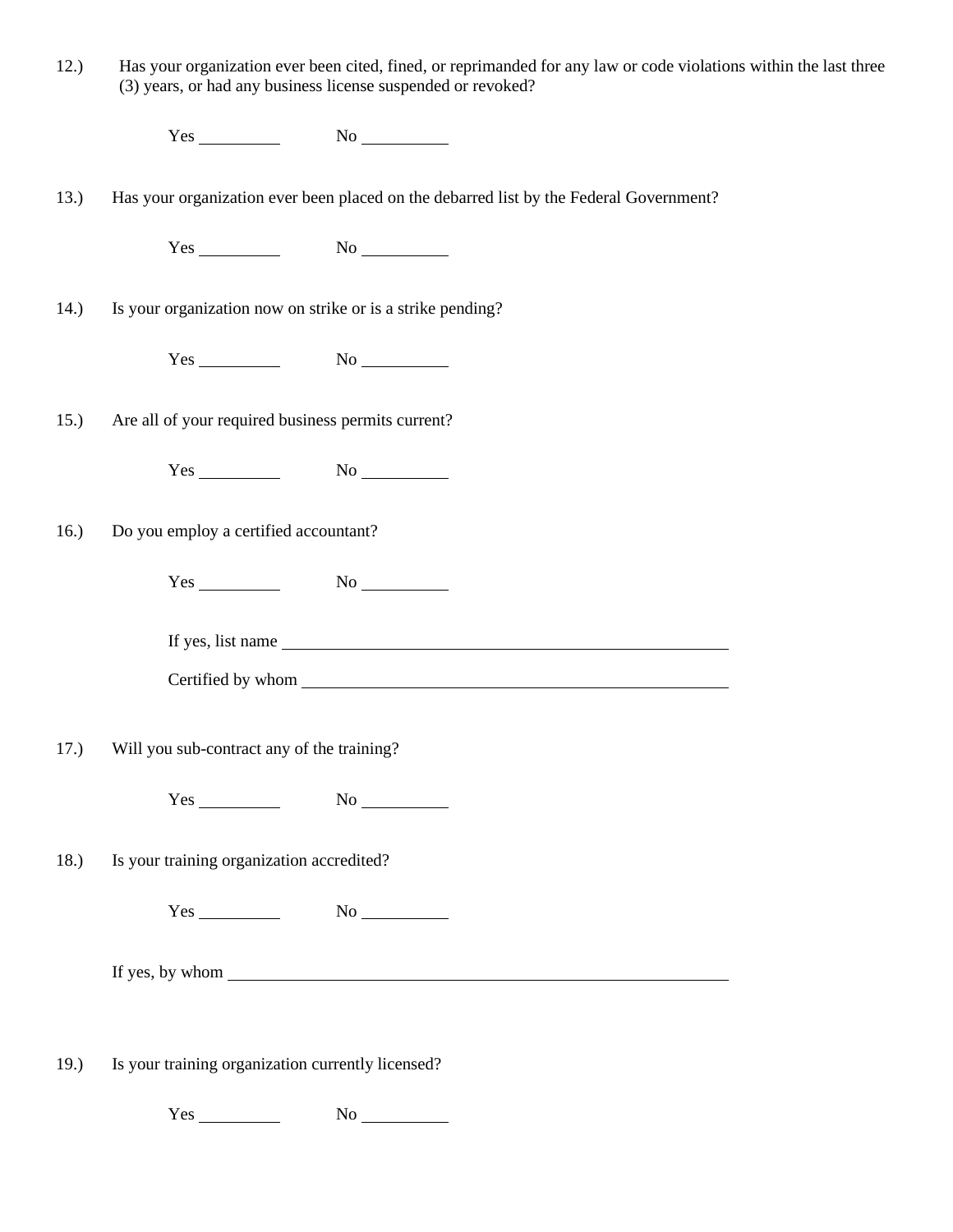| 12.) |                                                   | Has your organization ever been cited, fined, or reprimanded for any law or code violations within the last three<br>(3) years, or had any business license suspended or revoked? |  |
|------|---------------------------------------------------|-----------------------------------------------------------------------------------------------------------------------------------------------------------------------------------|--|
|      |                                                   | $Yes$ No $No$                                                                                                                                                                     |  |
| 13.) |                                                   | Has your organization ever been placed on the debarred list by the Federal Government?                                                                                            |  |
|      |                                                   | $Yes$ No $No$                                                                                                                                                                     |  |
| 14.) |                                                   | Is your organization now on strike or is a strike pending?                                                                                                                        |  |
|      |                                                   | $Yes$ No $No$                                                                                                                                                                     |  |
| 15.) |                                                   | Are all of your required business permits current?                                                                                                                                |  |
|      |                                                   | $Yes$ No $No$                                                                                                                                                                     |  |
| 16.) | Do you employ a certified accountant?             |                                                                                                                                                                                   |  |
|      |                                                   |                                                                                                                                                                                   |  |
|      |                                                   |                                                                                                                                                                                   |  |
|      |                                                   |                                                                                                                                                                                   |  |
| 17.) | Will you sub-contract any of the training?        |                                                                                                                                                                                   |  |
|      |                                                   | $Yes$ No $No$                                                                                                                                                                     |  |
| 18.) | Is your training organization accredited?         |                                                                                                                                                                                   |  |
|      |                                                   |                                                                                                                                                                                   |  |
|      |                                                   |                                                                                                                                                                                   |  |
|      |                                                   |                                                                                                                                                                                   |  |
| 19.) | Is your training organization currently licensed? |                                                                                                                                                                                   |  |

 $Yes$  No  $N$ o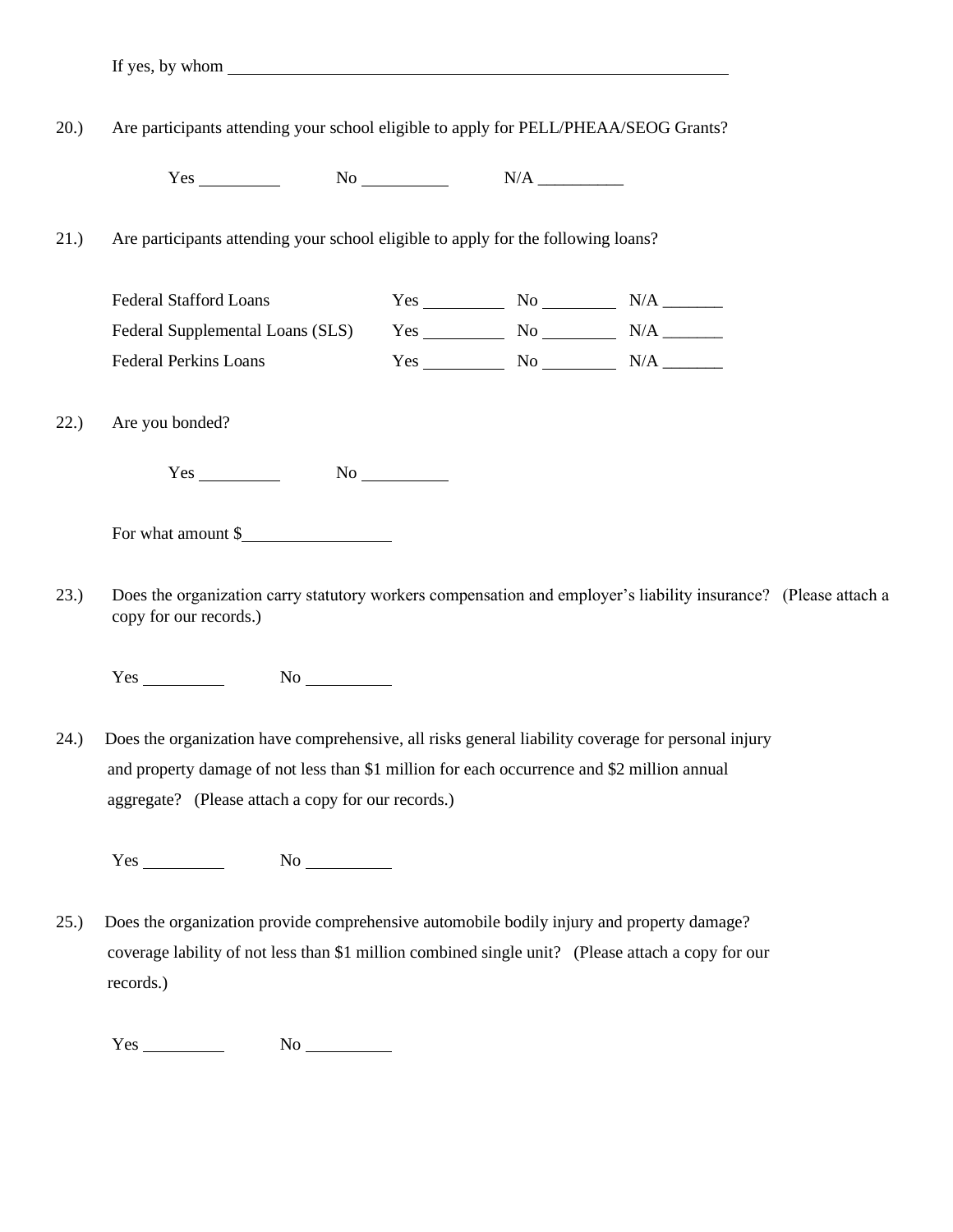20.) Are participants attending your school eligible to apply for PELL/PHEAA/SEOG Grants?

 $Yes \_\_\_\_\_\_\_\_\_\_\_\_$  No  $\_\_\_\_\_\_\_\_\_\_\_$ 

21.) Are participants attending your school eligible to apply for the following loans?

| <b>Federal Stafford Loans</b>    | Yes | Nο | N/A |
|----------------------------------|-----|----|-----|
| Federal Supplemental Loans (SLS) | Yes | N٥ | N/A |
| <b>Federal Perkins Loans</b>     | Yes | Nο | N/A |

22.) Are you bonded?

Yes No

For what amount \$

23.) Does the organization carry statutory workers compensation and employer's liability insurance? (Please attach a copy for our records.)

 $Yes$  No  $No$ 

24.) Does the organization have comprehensive, all risks general liability coverage for personal injury and property damage of not less than \$1 million for each occurrence and \$2 million annual aggregate? (Please attach a copy for our records.)

 $Yes$  No  $No$ 

25.) Does the organization provide comprehensive automobile bodily injury and property damage? coverage lability of not less than \$1 million combined single unit? (Please attach a copy for our records.)

 $Yes$  No  $No$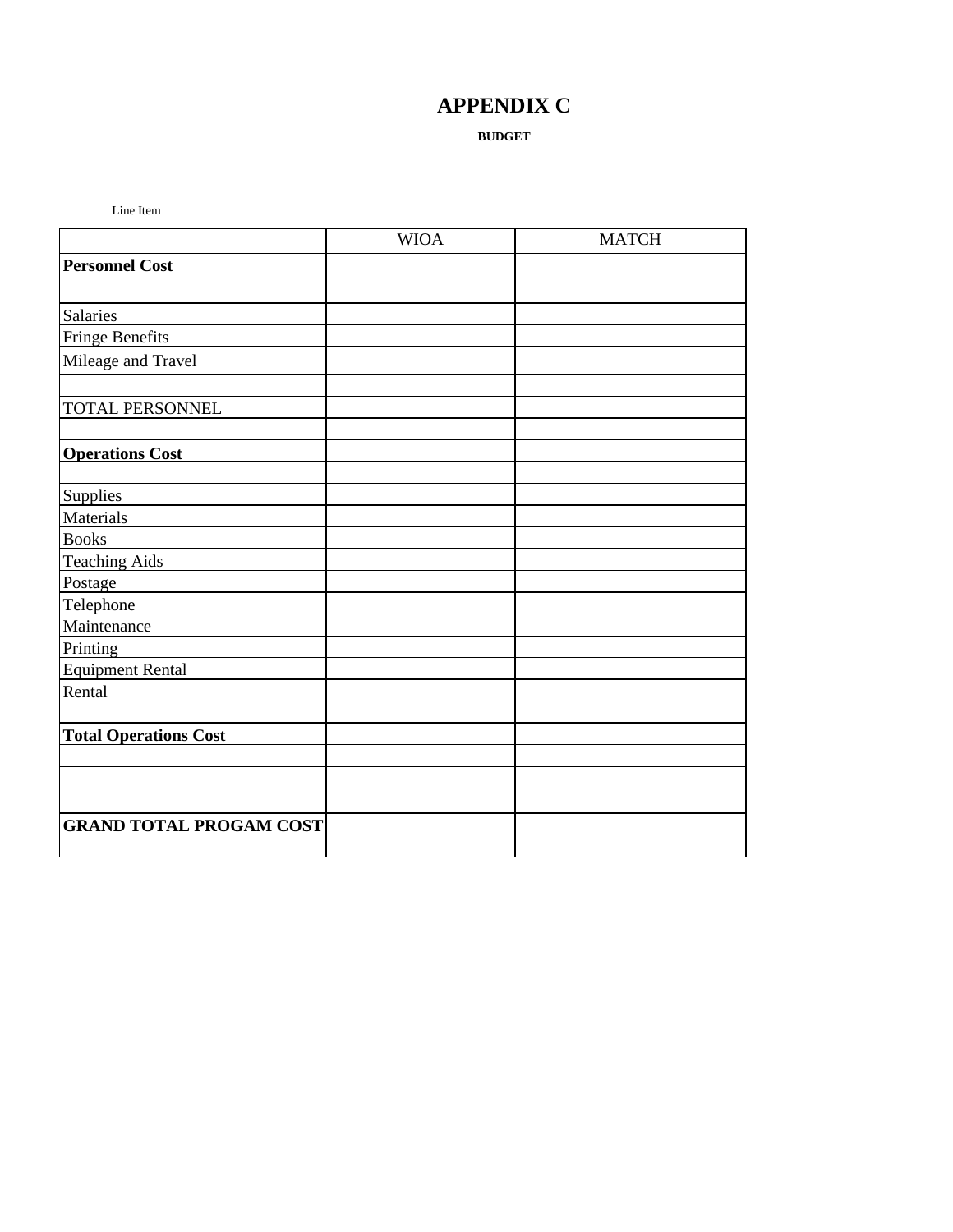# **APPENDIX C**

#### **BUDGET**

Line Item

|                                | <b>WIOA</b> | <b>MATCH</b> |
|--------------------------------|-------------|--------------|
| <b>Personnel Cost</b>          |             |              |
|                                |             |              |
| <b>Salaries</b>                |             |              |
| <b>Fringe Benefits</b>         |             |              |
| Mileage and Travel             |             |              |
|                                |             |              |
| <b>TOTAL PERSONNEL</b>         |             |              |
|                                |             |              |
| <b>Operations Cost</b>         |             |              |
|                                |             |              |
| Supplies                       |             |              |
| Materials                      |             |              |
| <b>Books</b>                   |             |              |
| <b>Teaching Aids</b>           |             |              |
| Postage                        |             |              |
| Telephone                      |             |              |
| Maintenance                    |             |              |
| Printing                       |             |              |
| <b>Equipment Rental</b>        |             |              |
| Rental                         |             |              |
|                                |             |              |
| <b>Total Operations Cost</b>   |             |              |
|                                |             |              |
|                                |             |              |
|                                |             |              |
| <b>GRAND TOTAL PROGAM COST</b> |             |              |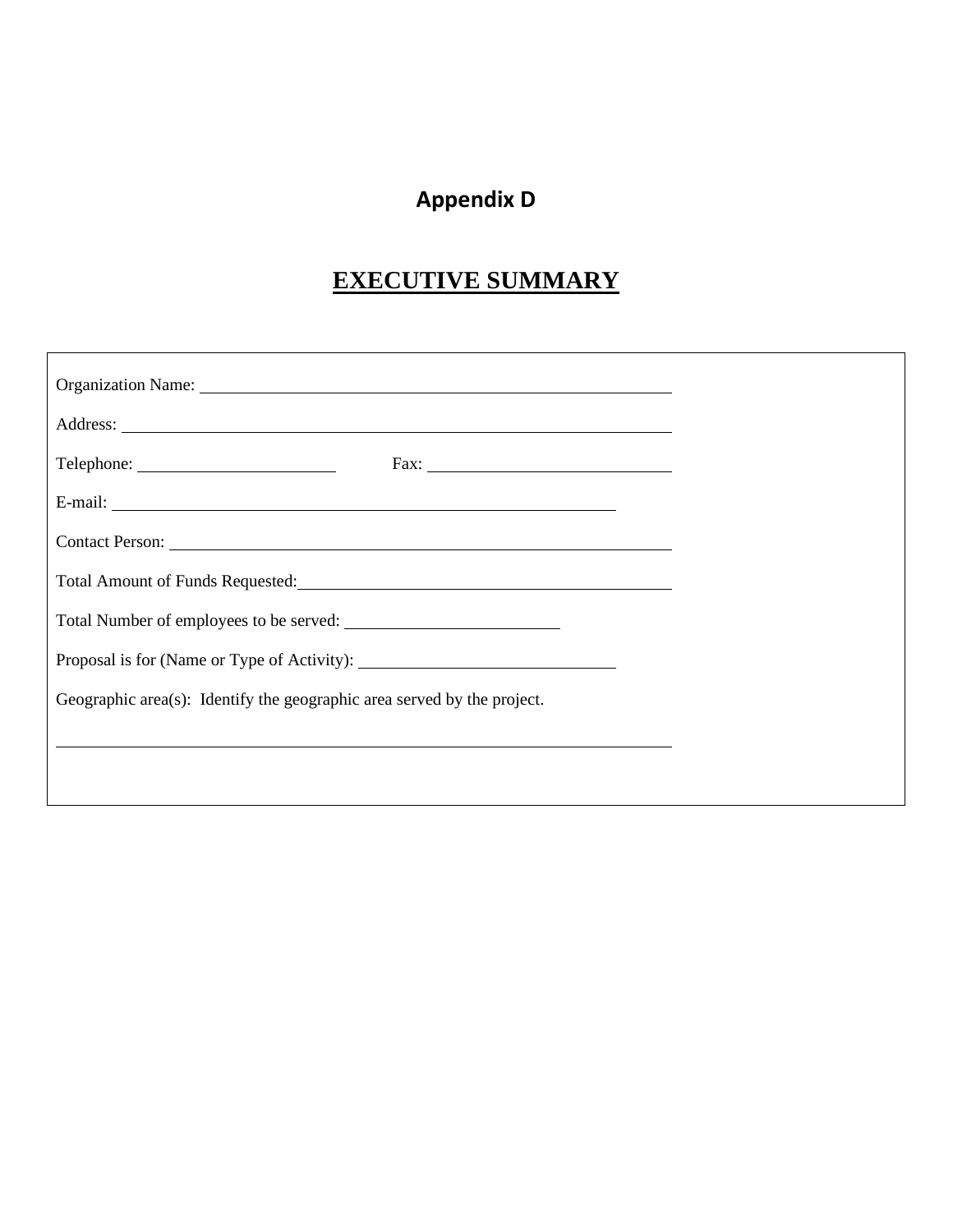# **Appendix D**

# **EXECUTIVE SUMMARY**

| Geographic area(s): Identify the geographic area served by the project. |
|-------------------------------------------------------------------------|
|                                                                         |
|                                                                         |